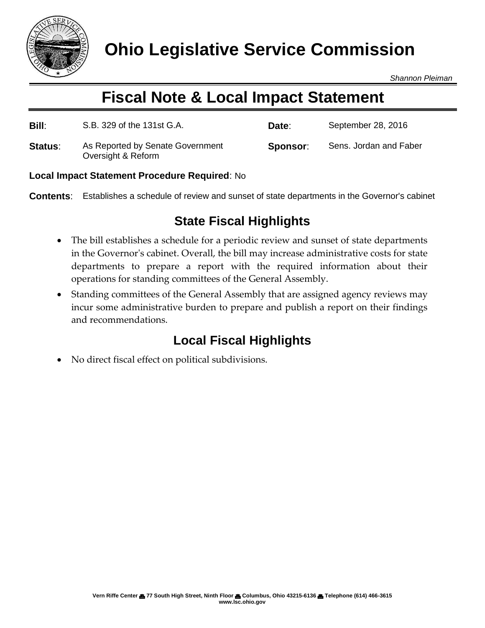

*Shannon Pleiman*

# **Fiscal Note & Local Impact Statement**

| <b>Bill:</b> | S.B. 329 of the 131st G.A.                             | Date:    | September 28, 2016     |
|--------------|--------------------------------------------------------|----------|------------------------|
| Status:      | As Reported by Senate Government<br>Oversight & Reform | Sponsor: | Sens. Jordan and Faber |

#### **Local Impact Statement Procedure Required**: No

**Contents**: Establishes a schedule of review and sunset of state departments in the Governor's cabinet

### **State Fiscal Highlights**

- The bill establishes a schedule for a periodic review and sunset of state departments in the Governor's cabinet. Overall, the bill may increase administrative costs for state departments to prepare a report with the required information about their operations for standing committees of the General Assembly.
- Standing committees of the General Assembly that are assigned agency reviews may incur some administrative burden to prepare and publish a report on their findings and recommendations.

## **Local Fiscal Highlights**

No direct fiscal effect on political subdivisions.